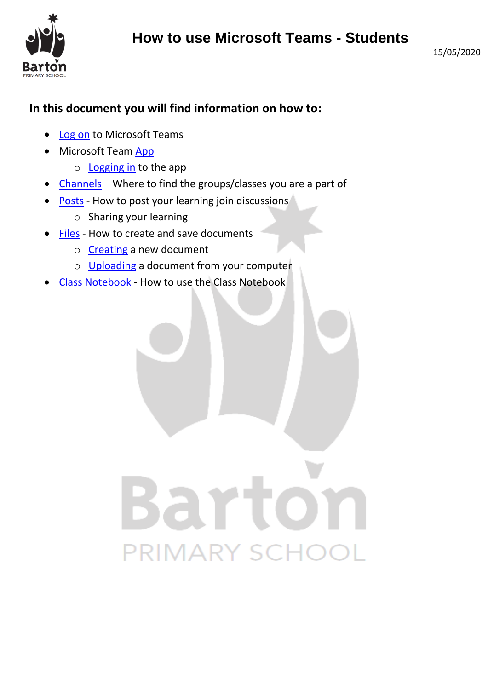

#### **In this document you will find information on how to:**

- [Log on](#page-0-0) to Microsoft Teams
- Microsoft Team [App](#page-2-0)
	- o [Logging in](#page-2-1) to the app
- [Channels](#page-3-0) Where to find the groups/classes you are a part of
- [Posts](#page-3-1) How to post your learning join discussions
	- o Sharing your learning
- [Files](#page-4-0) How to create and save documents
	- o [Creating](#page-5-0) a new document
	- o [Uploading](#page-6-0) a document from your computer
- <span id="page-0-0"></span>• [Class Notebook](#page-8-0) - How to use the Class Notebook

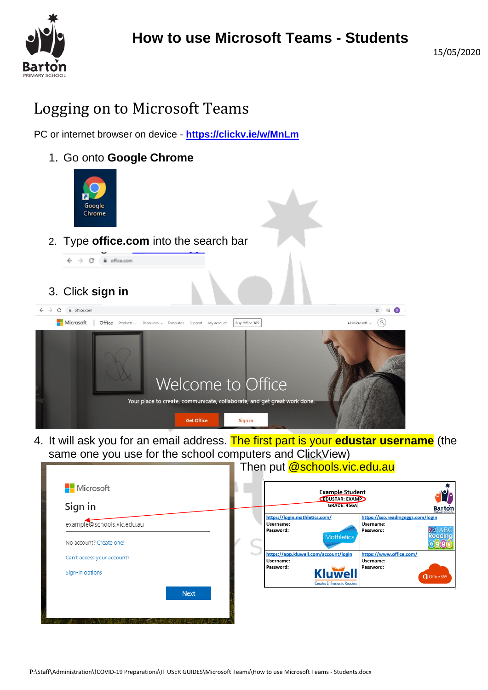

# Logging on to Microsoft Teams

PC or internet browser on device - **<https://clickv.ie/w/MnLm>**

1. Go onto **Google Chrome**



2. Type **office.com** into the search bar



3. Click **sign in**



4. It will ask you for an email address. The first part is your **edustar username** (the same one you use for the school computers and ClickView)  $T$  $\overline{\omega}$ cohoolo $\overline{\omega}$ ic.edu.au

|             |                                                         | <b>Example Student</b>                                                                 |
|-------------|---------------------------------------------------------|----------------------------------------------------------------------------------------|
|             | EDUSTAR: EXAMP<br><b>GRADE: 456A</b>                    | <b>Barton</b>                                                                          |
|             | https://login.mathletics.com/<br>Username:<br>Password: | https://sso.readingeggs.com/login<br>Username:<br><b>ABC</b><br><b>KW</b><br>Password: |
|             | Mothletics                                              | <b>Reading</b>                                                                         |
|             | https://app.kluwell.com/account/login<br>Username:      | https://www.office.com/<br>Username:                                                   |
|             | Password:<br><b>Creates Enthusiastic Readers</b>        | Password:<br>Office 365                                                                |
| <b>Next</b> |                                                         |                                                                                        |
|             |                                                         | <b>Kluwell</b>                                                                         |

P:\Staff\Administration\!COVID-19 Preparations\IT USER GUIDES\Microsoft Teams\How to use Microsoft Teams - Students.docx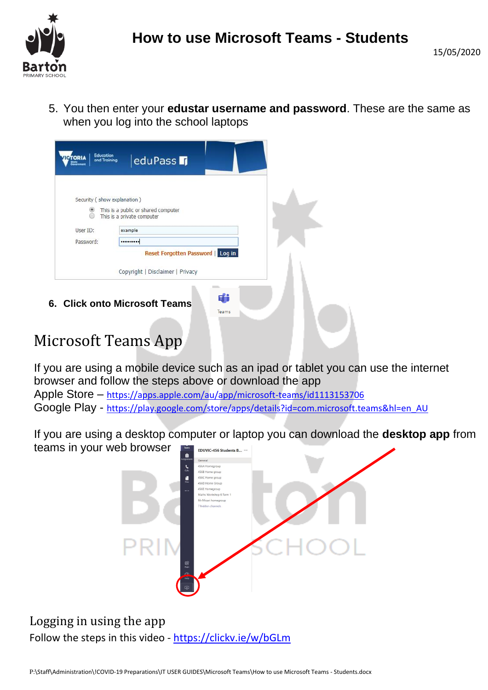

5. You then enter your **edustar username and password**. These are the same as when you log into the school laptops

| Security (show explanation) |                                                                   |  |
|-----------------------------|-------------------------------------------------------------------|--|
| m                           | This is a public or shared computer<br>This is a private computer |  |
| User ID:                    | example                                                           |  |
| Password:                   |                                                                   |  |
|                             | Reset Forgotten Password   Log in                                 |  |
|                             | Copyright   Disclaimer   Privacy                                  |  |

# <span id="page-2-0"></span>Microsoft Teams App

If you are using a mobile device such as an ipad or tablet you can use the internet browser and follow the steps above or download the app

Apple Store – <https://apps.apple.com/au/app/microsoft-teams/id1113153706> Google Play - [https://play.google.com/store/apps/details?id=com.microsoft.teams&hl=en\\_AU](https://play.google.com/store/apps/details?id=com.microsoft.teams&hl=en_AU)

If you are using a desktop computer or laptop you can download the **desktop app** from teams in your web browser



<span id="page-2-1"></span>Logging in using the app Follow the steps in this video - <https://clickv.ie/w/bGLm>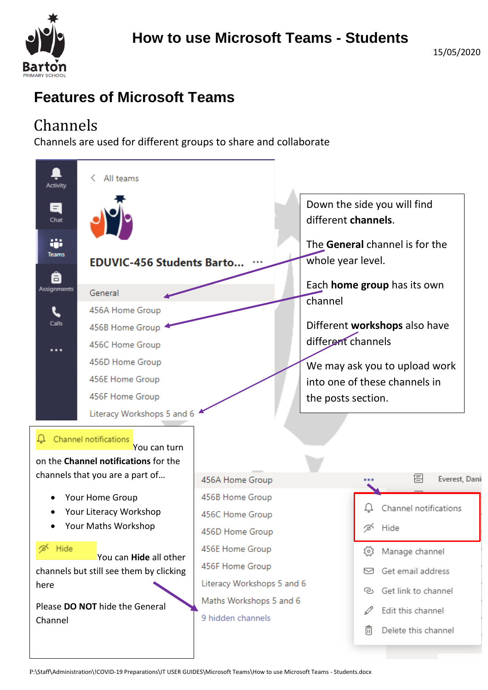

## **Features of Microsoft Teams**

# <span id="page-3-0"></span>Channels

<span id="page-3-1"></span>Channels are used for different groups to share and collaborate

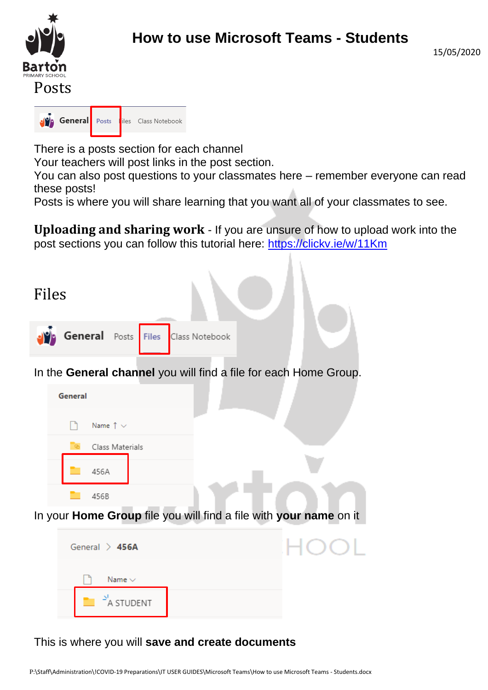

**Posts** General Posts iles Class Notebook

There is a posts section for each channel

Your teachers will post links in the post section.

You can also post questions to your classmates here – remember everyone can read these posts!

Posts is where you will share learning that you want all of your classmates to see.

**Uploading and sharing work** - If you are unsure of how to upload work into the post sections you can follow this tutorial here:<https://clickv.ie/w/11Km>

<span id="page-4-0"></span>

#### This is where you will **save and create documents**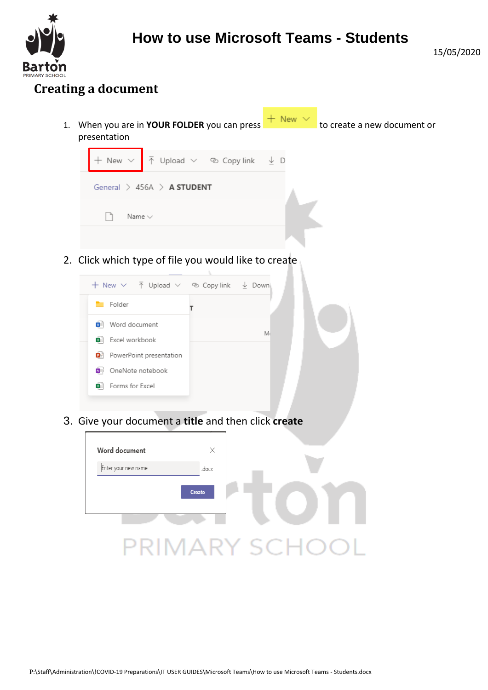

#### <span id="page-5-0"></span>**Creating a document**

1. When you are in **YOUR FOLDER** you can press  $\frac{+}{+}$  New  $\frac{+}{-}$  to create a new document or presentation



2. Click which type of file you would like to create



3. Give your document a **title** and then click **create**

| Word document       | X     |  |
|---------------------|-------|--|
| Enter your new name | .docx |  |
| Create              |       |  |
|                     |       |  |
|                     |       |  |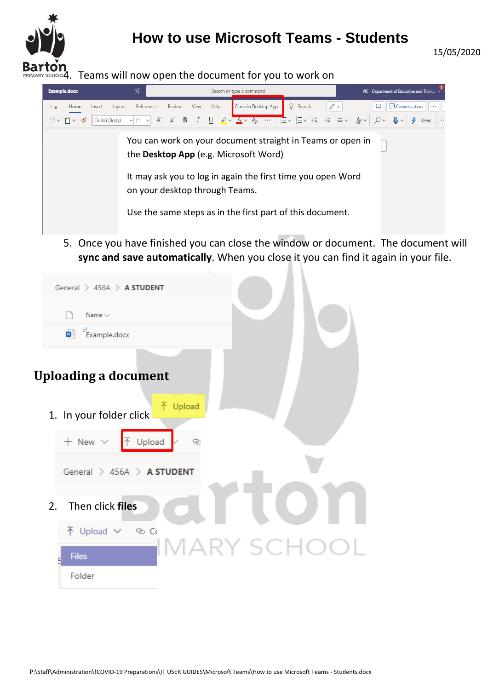

4. Teams will now open the document for you to work on



5. Once you have finished you can close the window or document. The document will **sync and save automatically**. When you close it you can find it again in your file.

<span id="page-6-0"></span>

|    | General $\geq$ 456A $\geq$ <b>A STUDENT</b> |
|----|---------------------------------------------|
|    | Name $\vee$                                 |
|    | $\sqrt{\frac{N}{n}}$ Example.docx           |
|    | <b>Uploading a document</b>                 |
|    | 不 Upload<br>1. In your folder click         |
|    | $+$ New $\vee$<br>Upload<br>P.              |
|    | General $\geq$ 456A $\geq$ <b>A STUDENT</b> |
| 2. | Then click files                            |
|    | $\bar{\uparrow}$ Upload $\vee$<br>ෙ ග       |
|    | <b>IMARY SCHO</b><br><b>Files</b>           |
|    | Folder                                      |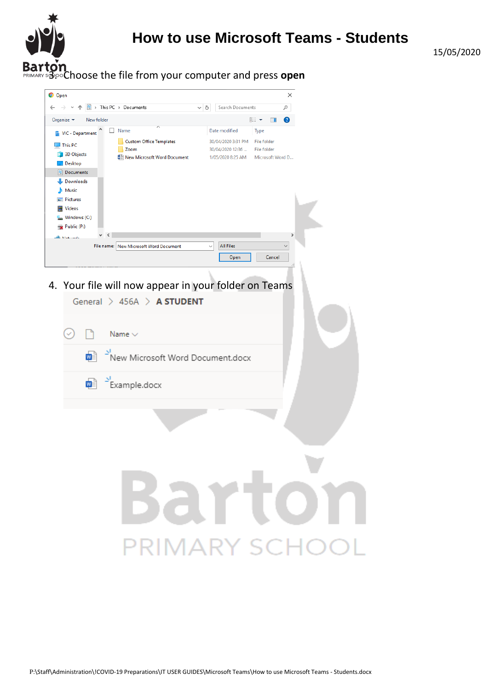

15/05/2020

3. Choose the file from your computer and press **open**

| O Open                                                                                                                                                                                                                                                                                     |                   |                                                                              |                                                        | ×             |
|--------------------------------------------------------------------------------------------------------------------------------------------------------------------------------------------------------------------------------------------------------------------------------------------|-------------------|------------------------------------------------------------------------------|--------------------------------------------------------|---------------|
| > This PC > Documents<br>質                                                                                                                                                                                                                                                                 | Õ<br>$\checkmark$ | Search Documents                                                             |                                                        | مر            |
| Organize $\star$<br>New folder                                                                                                                                                                                                                                                             |                   |                                                                              | 988 ▼<br>$\Box$                                        | Ø             |
| Name<br>VIC - Department<br>膃<br><b>Custom Office Templates</b><br>This PC<br>Zoom<br><b>3D Objects</b><br>■ New Microsoft Word Document<br>Desktop<br>Documents<br>曽<br>Downloads<br>Music<br>$\blacksquare$ Pictures<br>Videos<br><sup>#</sup> Windows (C:)<br>$\Rightarrow$ Public (P:) |                   | Date modified<br>30/04/2020 3:31 PM<br>30/04/2020 12:36<br>1/05/2020 8:25 AM | Type<br>File folder<br>File folder<br>Microsoft Word D |               |
| $\,\,<\,$<br>$\checkmark$<br><b>Kitchenstein</b>                                                                                                                                                                                                                                           |                   |                                                                              |                                                        | $\rightarrow$ |
| File name: New Microsoft Word Document                                                                                                                                                                                                                                                     | $\checkmark$      | <b>All Files</b><br>Open                                                     | Cancel                                                 | $\checkmark$  |
|                                                                                                                                                                                                                                                                                            |                   |                                                                              |                                                        |               |

4. Your file will now appear in your folder on Teams

General  $> 456A > A$  STUDENT  $\Box$  $\circlearrowright$ Name  $\vee$ ₩ New Microsoft Word Document.docx  $\frac{1}{\sqrt{2}}$  Example.docx

# **Barto PRIMARY SCHOOL**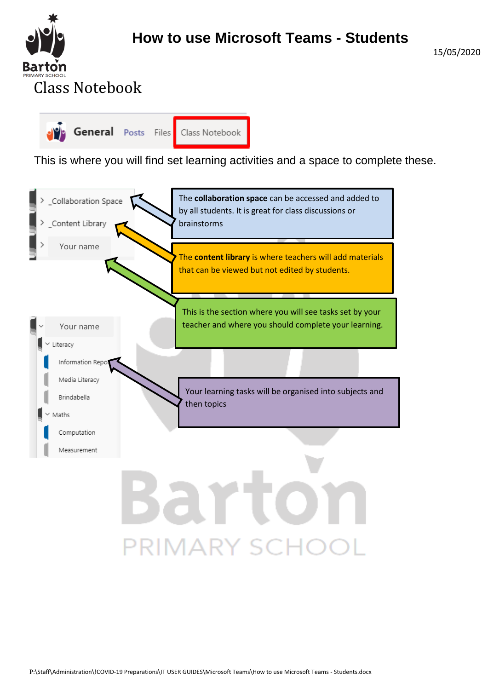

15/05/2020

<span id="page-8-0"></span>

This is where you will find set learning activities and a space to complete these.



**PRIMARY SCHOOL**